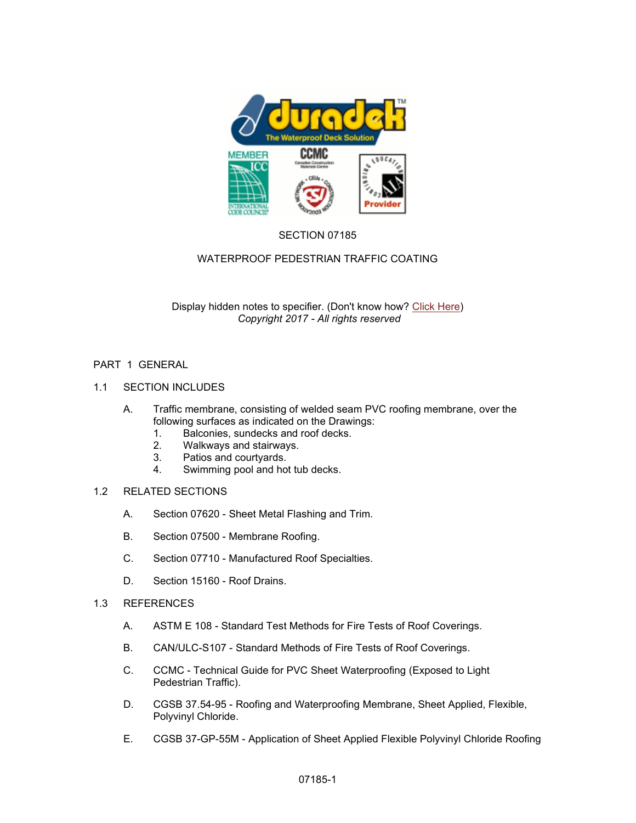

# SECTION 07185

# WATERPROOF PEDESTRIAN TRAFFIC COATING

Display hidden notes to specifier. (Don't know how? Click Here) *Copyright 2017 - All rights reserved* 

## PART 1 GENERAL

- 1.1 SECTION INCLUDES
	- A. Traffic membrane, consisting of welded seam PVC roofing membrane, over the following surfaces as indicated on the Drawings:
		- 1. Balconies, sundecks and roof decks.<br>2. Walkways and stairways.
		- 2. Walkways and stairways.
		- 3. Patios and courtyards.
		- 4. Swimming pool and hot tub decks.

# 1.2 RELATED SECTIONS

- A. Section 07620 Sheet Metal Flashing and Trim.
- B. Section 07500 Membrane Roofing.
- C. Section 07710 Manufactured Roof Specialties.
- D. Section 15160 Roof Drains.
- 1.3 REFERENCES
	- A. ASTM E 108 Standard Test Methods for Fire Tests of Roof Coverings.
	- B. CAN/ULC-S107 Standard Methods of Fire Tests of Roof Coverings.
	- C. CCMC Technical Guide for PVC Sheet Waterproofing (Exposed to Light Pedestrian Traffic).
	- D. CGSB 37.54-95 Roofing and Waterproofing Membrane, Sheet Applied, Flexible, Polyvinyl Chloride.
	- E. CGSB 37-GP-55M Application of Sheet Applied Flexible Polyvinyl Chloride Roofing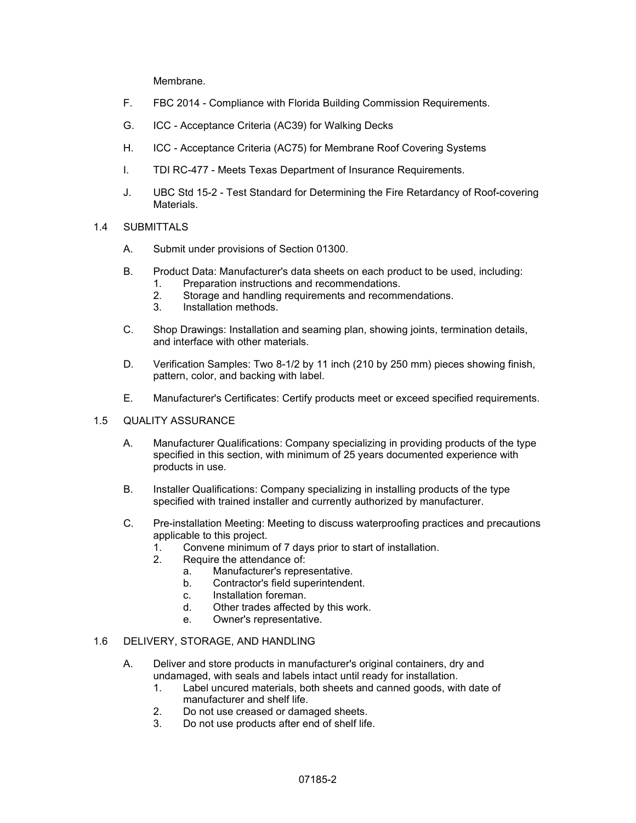Membrane.

- F. FBC 2014 Compliance with Florida Building Commission Requirements.
- G. ICC Acceptance Criteria (AC39) for Walking Decks
- H. ICC Acceptance Criteria (AC75) for Membrane Roof Covering Systems
- I. TDI RC-477 Meets Texas Department of Insurance Requirements.
- J. UBC Std 15-2 Test Standard for Determining the Fire Retardancy of Roof-covering Materials.
- 1.4 SUBMITTALS
	- A. Submit under provisions of Section 01300.
	- B. Product Data: Manufacturer's data sheets on each product to be used, including:
		- 1. Preparation instructions and recommendations.
			- 2. Storage and handling requirements and recommendations.
			- 3. Installation methods.
	- C. Shop Drawings: Installation and seaming plan, showing joints, termination details, and interface with other materials.
	- D. Verification Samples: Two 8-1/2 by 11 inch (210 by 250 mm) pieces showing finish, pattern, color, and backing with label.
	- E. Manufacturer's Certificates: Certify products meet or exceed specified requirements.

#### 1.5 QUALITY ASSURANCE

- A. Manufacturer Qualifications: Company specializing in providing products of the type specified in this section, with minimum of 25 years documented experience with products in use.
- B. Installer Qualifications: Company specializing in installing products of the type specified with trained installer and currently authorized by manufacturer.
- C. Pre-installation Meeting: Meeting to discuss waterproofing practices and precautions applicable to this project.
	- 1. Convene minimum of 7 days prior to start of installation.<br>2. Require the attendance of:
	- Require the attendance of:
		- a. Manufacturer's representative.
		- b. Contractor's field superintendent.
		- c. Installation foreman.
		- d. Other trades affected by this work.
		- e. Owner's representative.

#### 1.6 DELIVERY, STORAGE, AND HANDLING

- A. Deliver and store products in manufacturer's original containers, dry and undamaged, with seals and labels intact until ready for installation.
	- 1. Label uncured materials, both sheets and canned goods, with date of manufacturer and shelf life.
	- 2. Do not use creased or damaged sheets.
	- 3. Do not use products after end of shelf life.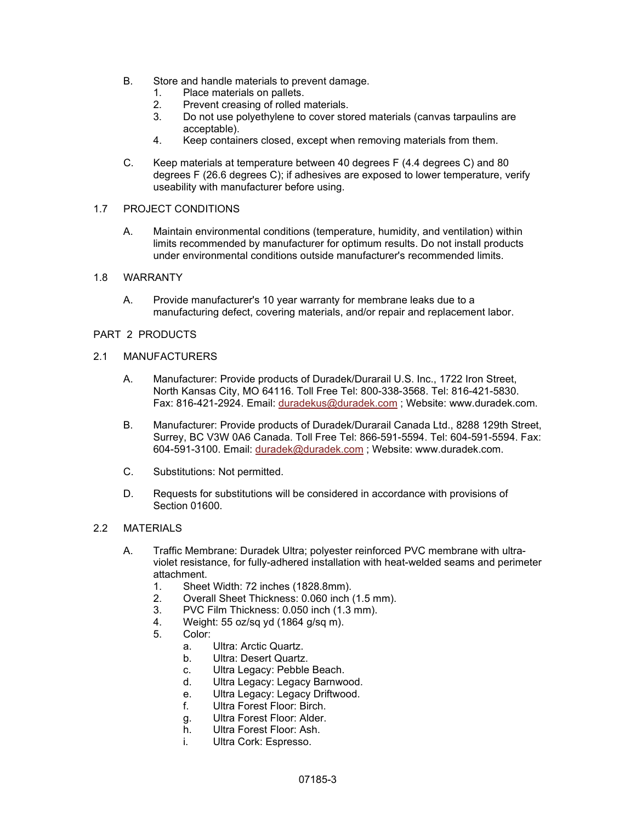- B. Store and handle materials to prevent damage.
	- 1. Place materials on pallets.
	- 2. Prevent creasing of rolled materials.<br>3 Do not use polvethylene to cover sto
	- Do not use polyethylene to cover stored materials (canvas tarpaulins are acceptable).
	- 4. Keep containers closed, except when removing materials from them.
- C. Keep materials at temperature between 40 degrees F (4.4 degrees C) and 80 degrees F (26.6 degrees C); if adhesives are exposed to lower temperature, verify useability with manufacturer before using.

#### 1.7 PROJECT CONDITIONS

A. Maintain environmental conditions (temperature, humidity, and ventilation) within limits recommended by manufacturer for optimum results. Do not install products under environmental conditions outside manufacturer's recommended limits.

## 1.8 WARRANTY

A. Provide manufacturer's 10 year warranty for membrane leaks due to a manufacturing defect, covering materials, and/or repair and replacement labor.

## PART 2 PRODUCTS

#### 2.1 MANUFACTURERS

- A. Manufacturer: Provide products of Duradek/Durarail U.S. Inc., 1722 Iron Street, North Kansas City, MO 64116. Toll Free Tel: 800-338-3568. Tel: 816-421-5830. Fax: 816-421-2924. Email: duradekus@duradek.com ; Website: www.duradek.com.
- B. Manufacturer: Provide products of Duradek/Durarail Canada Ltd., 8288 129th Street, Surrey, BC V3W 0A6 Canada. Toll Free Tel: 866-591-5594. Tel: 604-591-5594. Fax: 604-591-3100. Email: duradek@duradek.com ; Website: www.duradek.com.
- C. Substitutions: Not permitted.
- D. Requests for substitutions will be considered in accordance with provisions of Section 01600.

### 2.2 MATERIALS

- A. Traffic Membrane: Duradek Ultra; polyester reinforced PVC membrane with ultraviolet resistance, for fully-adhered installation with heat-welded seams and perimeter attachment.
	- 1. Sheet Width: 72 inches (1828.8mm).<br>2. Overall Sheet Thickness: 0.060 inch
	- 2. Overall Sheet Thickness: 0.060 inch (1.5 mm).
	- 3. PVC Film Thickness: 0.050 inch (1.3 mm).
	- 4. Weight: 55 oz/sq yd (1864 g/sq m).
	- Color:
		- a. Ultra: Arctic Quartz.
		- b. Ultra: Desert Quartz.
		- c. Ultra Legacy: Pebble Beach.
		- d. Ultra Legacy: Legacy Barnwood.
		- e. Ultra Legacy: Legacy Driftwood.<br>f Ultra Forest Floor: Birch
		- Ultra Forest Floor: Birch
		- g. Ultra Forest Floor: Alder.
		- h. Ultra Forest Floor: Ash.
		- i. Ultra Cork: Espresso.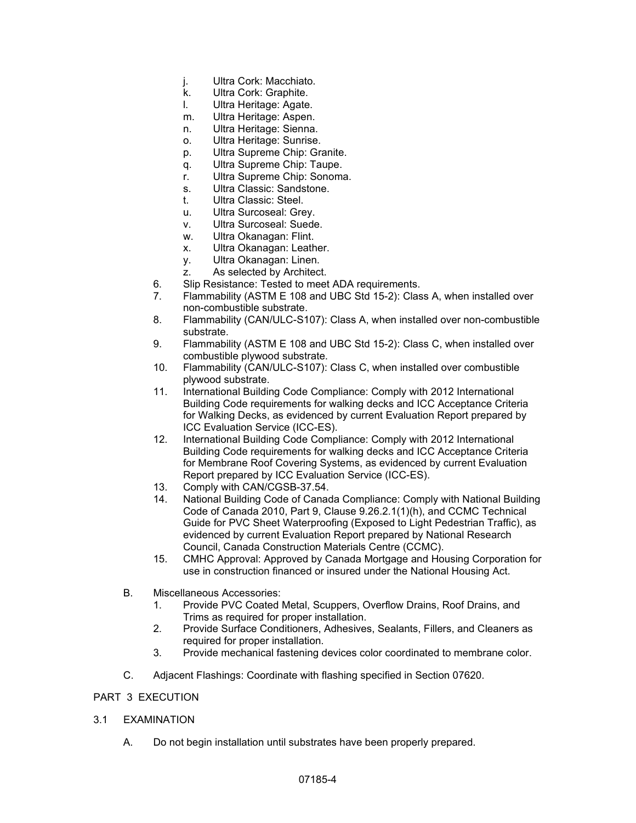- j. Ultra Cork: Macchiato.
- k. Ultra Cork: Graphite.
- l. Ultra Heritage: Agate.
- m. Ultra Heritage: Aspen.
- n. Ultra Heritage: Sienna.
- o. Ultra Heritage: Sunrise.
- p. Ultra Supreme Chip: Granite.
- q. Ultra Supreme Chip: Taupe.
- r. Ultra Supreme Chip: Sonoma.
- s. Ultra Classic: Sandstone.
- t. Ultra Classic: Steel.
- u. Ultra Surcoseal: Grey.
- v. Ultra Surcoseal: Suede.
- w. Ultra Okanagan: Flint.
- x. Ultra Okanagan: Leather.
- y. Ultra Okanagan: Linen.
- z. As selected by Architect.
- 6. Slip Resistance: Tested to meet ADA requirements.
- 7. Flammability (ASTM E 108 and UBC Std 15-2): Class A, when installed over non-combustible substrate.
- 8. Flammability (CAN/ULC-S107): Class A, when installed over non-combustible substrate.
- 9. Flammability (ASTM E 108 and UBC Std 15-2): Class C, when installed over combustible plywood substrate.
- 10. Flammability (CAN/ULC-S107): Class C, when installed over combustible plywood substrate.
- 11. International Building Code Compliance: Comply with 2012 International Building Code requirements for walking decks and ICC Acceptance Criteria for Walking Decks, as evidenced by current Evaluation Report prepared by ICC Evaluation Service (ICC-ES).
- 12. International Building Code Compliance: Comply with 2012 International Building Code requirements for walking decks and ICC Acceptance Criteria for Membrane Roof Covering Systems, as evidenced by current Evaluation Report prepared by ICC Evaluation Service (ICC-ES).
- 13. Comply with CAN/CGSB-37.54.
- 14. National Building Code of Canada Compliance: Comply with National Building Code of Canada 2010, Part 9, Clause 9.26.2.1(1)(h), and CCMC Technical Guide for PVC Sheet Waterproofing (Exposed to Light Pedestrian Traffic), as evidenced by current Evaluation Report prepared by National Research Council, Canada Construction Materials Centre (CCMC).
- 15. CMHC Approval: Approved by Canada Mortgage and Housing Corporation for use in construction financed or insured under the National Housing Act.
- B. Miscellaneous Accessories:
	- 1. Provide PVC Coated Metal, Scuppers, Overflow Drains, Roof Drains, and Trims as required for proper installation.
	- 2. Provide Surface Conditioners, Adhesives, Sealants, Fillers, and Cleaners as required for proper installation.
	- 3. Provide mechanical fastening devices color coordinated to membrane color.
- C. Adjacent Flashings: Coordinate with flashing specified in Section 07620.

# PART 3 EXECUTION

#### 3.1 EXAMINATION

A. Do not begin installation until substrates have been properly prepared.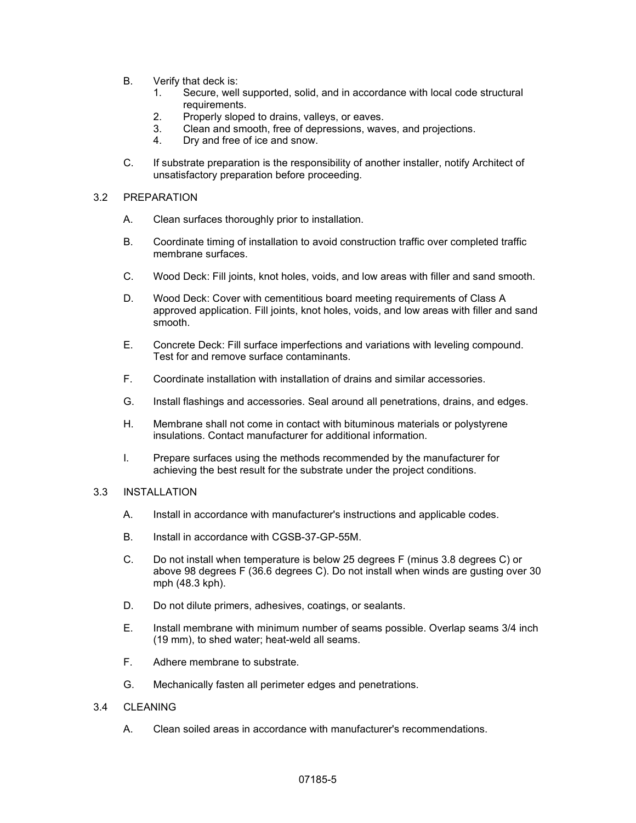- B. Verify that deck is:
	- 1. Secure, well supported, solid, and in accordance with local code structural requirements.
	- 2. Properly sloped to drains, valleys, or eaves.
	- 3. Clean and smooth, free of depressions, waves, and projections.
	- 4. Dry and free of ice and snow.
- C. If substrate preparation is the responsibility of another installer, notify Architect of unsatisfactory preparation before proceeding.

#### 3.2 PREPARATION

- A. Clean surfaces thoroughly prior to installation.
- B. Coordinate timing of installation to avoid construction traffic over completed traffic membrane surfaces.
- C. Wood Deck: Fill joints, knot holes, voids, and low areas with filler and sand smooth.
- D. Wood Deck: Cover with cementitious board meeting requirements of Class A approved application. Fill joints, knot holes, voids, and low areas with filler and sand smooth.
- E. Concrete Deck: Fill surface imperfections and variations with leveling compound. Test for and remove surface contaminants.
- F. Coordinate installation with installation of drains and similar accessories.
- G. Install flashings and accessories. Seal around all penetrations, drains, and edges.
- H. Membrane shall not come in contact with bituminous materials or polystyrene insulations. Contact manufacturer for additional information.
- I. Prepare surfaces using the methods recommended by the manufacturer for achieving the best result for the substrate under the project conditions.

## 3.3 INSTALLATION

- A. Install in accordance with manufacturer's instructions and applicable codes.
- B. Install in accordance with CGSB-37-GP-55M.
- C. Do not install when temperature is below 25 degrees F (minus 3.8 degrees C) or above 98 degrees F (36.6 degrees C). Do not install when winds are gusting over 30 mph (48.3 kph).
- D. Do not dilute primers, adhesives, coatings, or sealants.
- E. Install membrane with minimum number of seams possible. Overlap seams 3/4 inch (19 mm), to shed water; heat-weld all seams.
- F. Adhere membrane to substrate.
- G. Mechanically fasten all perimeter edges and penetrations.

## 3.4 CLEANING

A. Clean soiled areas in accordance with manufacturer's recommendations.